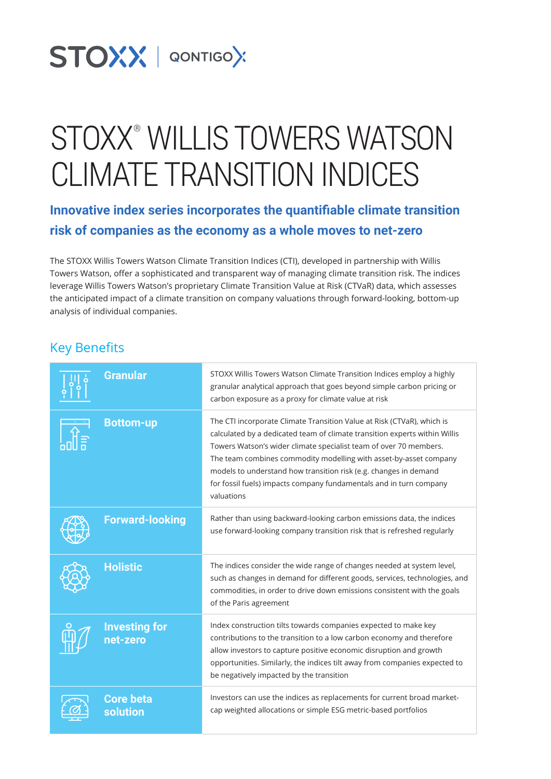# STOXX | QONTIGOX

# STOXX® WILLIS TOWERS WATSON CLIMATE TRANSITION INDICES

**Innovative index series incorporates the quantifiable climate transition risk of companies as the economy as a whole moves to net-zero**

The STOXX Willis Towers Watson Climate Transition Indices (CTI), developed in partnership with Willis Towers Watson, offer a sophisticated and transparent way of managing climate transition risk. The indices leverage Willis Towers Watson's proprietary Climate Transition Value at Risk (CTVaR) data, which assesses the anticipated impact of a climate transition on company valuations through forward-looking, bottom-up analysis of individual companies.

#### Key Benefits

| <b>Granular</b>                  | STOXX Willis Towers Watson Climate Transition Indices employ a highly<br>granular analytical approach that goes beyond simple carbon pricing or<br>carbon exposure as a proxy for climate value at risk                                                                                                                                                                                                                                                |
|----------------------------------|--------------------------------------------------------------------------------------------------------------------------------------------------------------------------------------------------------------------------------------------------------------------------------------------------------------------------------------------------------------------------------------------------------------------------------------------------------|
| <b>Bottom-up</b>                 | The CTI incorporate Climate Transition Value at Risk (CTVaR), which is<br>calculated by a dedicated team of climate transition experts within Willis<br>Towers Watson's wider climate specialist team of over 70 members.<br>The team combines commodity modelling with asset-by-asset company<br>models to understand how transition risk (e.g. changes in demand<br>for fossil fuels) impacts company fundamentals and in turn company<br>valuations |
| <b>Forward-looking</b>           | Rather than using backward-looking carbon emissions data, the indices<br>use forward-looking company transition risk that is refreshed regularly                                                                                                                                                                                                                                                                                                       |
| <b>Holistic</b>                  | The indices consider the wide range of changes needed at system level,<br>such as changes in demand for different goods, services, technologies, and<br>commodities, in order to drive down emissions consistent with the goals<br>of the Paris agreement                                                                                                                                                                                              |
| <b>Investing for</b><br>net-zero | Index construction tilts towards companies expected to make key<br>contributions to the transition to a low carbon economy and therefore<br>allow investors to capture positive economic disruption and growth<br>opportunities. Similarly, the indices tilt away from companies expected to<br>be negatively impacted by the transition                                                                                                               |
| <b>Core beta</b><br>solution     | Investors can use the indices as replacements for current broad market-<br>cap weighted allocations or simple ESG metric-based portfolios                                                                                                                                                                                                                                                                                                              |